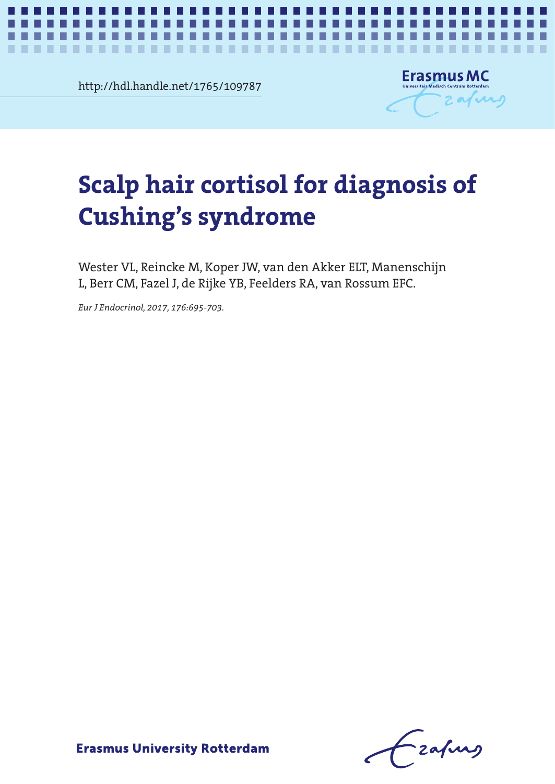http://hdl.handle.net/1765/109787



**The Contract of the Contract of the Contract** 

# 5 Scalp hair cortisol for diagnosis **Scalp hair cortisol for diagnosis of**  of Cushing's syndrome **Cushing's syndrome**

*Hair cortisol in Cushing's syndrome* **1**

Wester VL, Reincke M, Koper JW, van den Akker ELT, Manenschijn L, Berr CM, Fazel J, de Rijke YB, Feelders RA, van Rossum EFC.

Wester VL, Reincke M, Koper JW, van den Akker ELT, *Eur J Endocrinol, 2017, 176:695-703.*

- zafung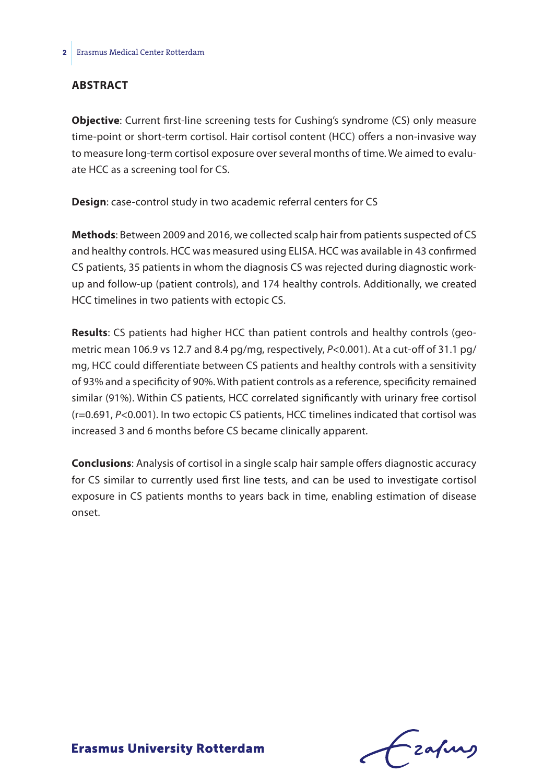## **Abstract**

**Objective**: Current first-line screening tests for Cushing's syndrome (CS) only measure time-point or short-term cortisol. Hair cortisol content (HCC) offers a non-invasive way to measure long-term cortisol exposure over several months of time. We aimed to evaluate HCC as a screening tool for CS.

**Design**: case-control study in two academic referral centers for CS

**Methods**: Between 2009 and 2016, we collected scalp hair from patients suspected of CS and healthy controls. HCC was measured using ELISA. HCC was available in 43 confirmed CS patients, 35 patients in whom the diagnosis CS was rejected during diagnostic workup and follow-up (patient controls), and 174 healthy controls. Additionally, we created HCC timelines in two patients with ectopic CS.

**Results**: CS patients had higher HCC than patient controls and healthy controls (geometric mean 106.9 vs 12.7 and 8.4 pg/mg, respectively, *P*<0.001). At a cut-off of 31.1 pg/ mg, HCC could differentiate between CS patients and healthy controls with a sensitivity of 93% and a specificity of 90%. With patient controls as a reference, specificity remained similar (91%). Within CS patients, HCC correlated significantly with urinary free cortisol (r=0.691, *P*<0.001). In two ectopic CS patients, HCC timelines indicated that cortisol was increased 3 and 6 months before CS became clinically apparent.

**Conclusions**: Analysis of cortisol in a single scalp hair sample offers diagnostic accuracy for CS similar to currently used first line tests, and can be used to investigate cortisol exposure in CS patients months to years back in time, enabling estimation of disease onset.

Frahing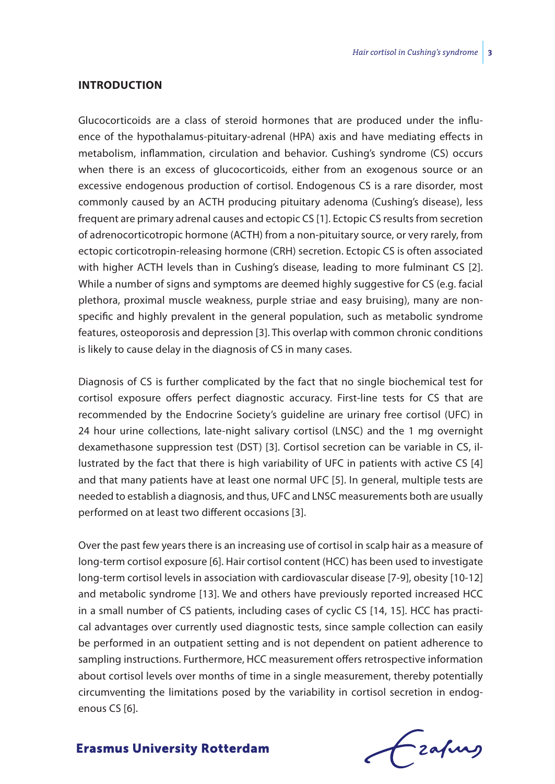## **Introduction**

Glucocorticoids are a class of steroid hormones that are produced under the influence of the hypothalamus-pituitary-adrenal (HPA) axis and have mediating effects in metabolism, inflammation, circulation and behavior. Cushing's syndrome (CS) occurs when there is an excess of glucocorticoids, either from an exogenous source or an excessive endogenous production of cortisol. Endogenous CS is a rare disorder, most commonly caused by an ACTH producing pituitary adenoma (Cushing's disease), less frequent are primary adrenal causes and ectopic CS [1]. Ectopic CS results from secretion of adrenocorticotropic hormone (ACTH) from a non-pituitary source, or very rarely, from ectopic corticotropin-releasing hormone (CRH) secretion. Ectopic CS is often associated with higher ACTH levels than in Cushing's disease, leading to more fulminant CS [2]. While a number of signs and symptoms are deemed highly suggestive for CS (e.g. facial plethora, proximal muscle weakness, purple striae and easy bruising), many are nonspecific and highly prevalent in the general population, such as metabolic syndrome features, osteoporosis and depression [3]. This overlap with common chronic conditions is likely to cause delay in the diagnosis of CS in many cases.

Diagnosis of CS is further complicated by the fact that no single biochemical test for cortisol exposure offers perfect diagnostic accuracy. First-line tests for CS that are recommended by the Endocrine Society's guideline are urinary free cortisol (UFC) in 24 hour urine collections, late-night salivary cortisol (LNSC) and the 1 mg overnight dexamethasone suppression test (DST) [3]. Cortisol secretion can be variable in CS, illustrated by the fact that there is high variability of UFC in patients with active CS [4] and that many patients have at least one normal UFC [5]. In general, multiple tests are needed to establish a diagnosis, and thus, UFC and LNSC measurements both are usually performed on at least two different occasions [3].

Over the past few years there is an increasing use of cortisol in scalp hair as a measure of long-term cortisol exposure [6]. Hair cortisol content (HCC) has been used to investigate long-term cortisol levels in association with cardiovascular disease [7-9], obesity [10-12] and metabolic syndrome [13]. We and others have previously reported increased HCC in a small number of CS patients, including cases of cyclic CS [14, 15]. HCC has practical advantages over currently used diagnostic tests, since sample collection can easily be performed in an outpatient setting and is not dependent on patient adherence to sampling instructions. Furthermore, HCC measurement offers retrospective information about cortisol levels over months of time in a single measurement, thereby potentially circumventing the limitations posed by the variability in cortisol secretion in endogenous CS [6].

frafing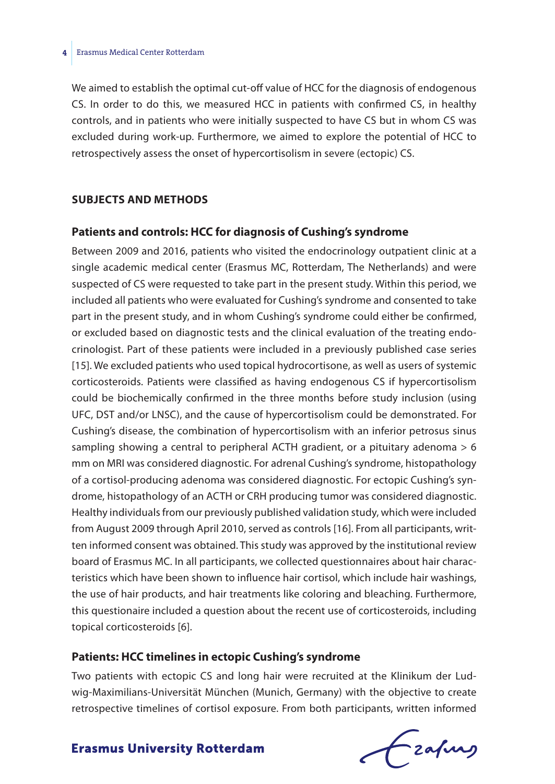We aimed to establish the optimal cut-off value of HCC for the diagnosis of endogenous CS. In order to do this, we measured HCC in patients with confirmed CS, in healthy controls, and in patients who were initially suspected to have CS but in whom CS was excluded during work-up. Furthermore, we aimed to explore the potential of HCC to retrospectively assess the onset of hypercortisolism in severe (ectopic) CS.

## **Subjects and methods**

#### **Patients and controls: HCC for diagnosis of Cushing's syndrome**

Between 2009 and 2016, patients who visited the endocrinology outpatient clinic at a single academic medical center (Erasmus MC, Rotterdam, The Netherlands) and were suspected of CS were requested to take part in the present study. Within this period, we included all patients who were evaluated for Cushing's syndrome and consented to take part in the present study, and in whom Cushing's syndrome could either be confirmed, or excluded based on diagnostic tests and the clinical evaluation of the treating endocrinologist. Part of these patients were included in a previously published case series [15]. We excluded patients who used topical hydrocortisone, as well as users of systemic corticosteroids. Patients were classified as having endogenous CS if hypercortisolism could be biochemically confirmed in the three months before study inclusion (using UFC, DST and/or LNSC), and the cause of hypercortisolism could be demonstrated. For Cushing's disease, the combination of hypercortisolism with an inferior petrosus sinus sampling showing a central to peripheral ACTH gradient, or a pituitary adenoma > 6 mm on MRI was considered diagnostic. For adrenal Cushing's syndrome, histopathology of a cortisol-producing adenoma was considered diagnostic. For ectopic Cushing's syndrome, histopathology of an ACTH or CRH producing tumor was considered diagnostic. Healthy individuals from our previously published validation study, which were included from August 2009 through April 2010, served as controls [16]. From all participants, written informed consent was obtained. This study was approved by the institutional review board of Erasmus MC. In all participants, we collected questionnaires about hair characteristics which have been shown to influence hair cortisol, which include hair washings, the use of hair products, and hair treatments like coloring and bleaching. Furthermore, this questionaire included a question about the recent use of corticosteroids, including topical corticosteroids [6].

## **Patients: HCC timelines in ectopic Cushing's syndrome**

Two patients with ectopic CS and long hair were recruited at the Klinikum der Ludwig‐Maximilians‐Universität München (Munich, Germany) with the objective to create retrospective timelines of cortisol exposure. From both participants, written informed

Frahing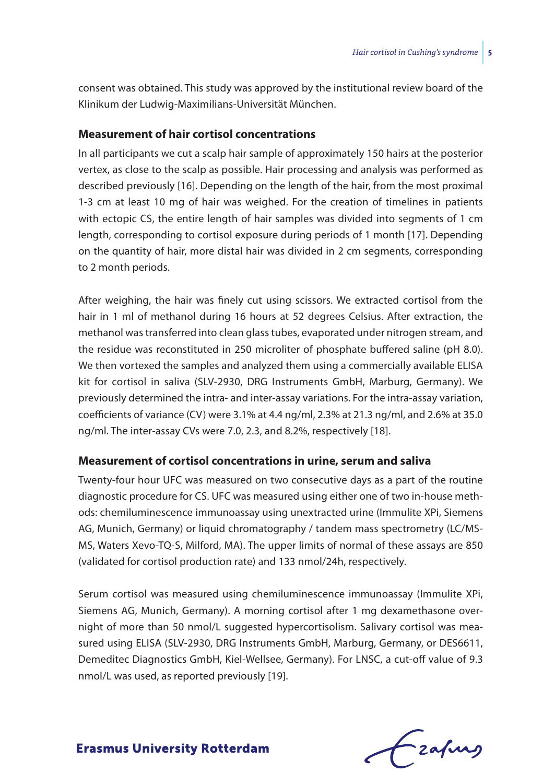consent was obtained. This study was approved by the institutional review board of the Klinikum der Ludwig‐Maximilians‐Universität München.

## **Measurement of hair cortisol concentrations**

In all participants we cut a scalp hair sample of approximately 150 hairs at the posterior vertex, as close to the scalp as possible. Hair processing and analysis was performed as described previously [16]. Depending on the length of the hair, from the most proximal 1-3 cm at least 10 mg of hair was weighed. For the creation of timelines in patients with ectopic CS, the entire length of hair samples was divided into segments of 1 cm length, corresponding to cortisol exposure during periods of 1 month [17]. Depending on the quantity of hair, more distal hair was divided in 2 cm segments, corresponding to 2 month periods.

After weighing, the hair was finely cut using scissors. We extracted cortisol from the hair in 1 ml of methanol during 16 hours at 52 degrees Celsius. After extraction, the methanol was transferred into clean glass tubes, evaporated under nitrogen stream, and the residue was reconstituted in 250 microliter of phosphate buffered saline (pH 8.0). We then vortexed the samples and analyzed them using a commercially available ELISA kit for cortisol in saliva (SLV-2930, DRG Instruments GmbH, Marburg, Germany). We previously determined the intra- and inter-assay variations. For the intra-assay variation, coefficients of variance (CV) were 3.1% at 4.4 ng/ml, 2.3% at 21.3 ng/ml, and 2.6% at 35.0 ng/ml. The inter-assay CVs were 7.0, 2.3, and 8.2%, respectively [18].

## **Measurement of cortisol concentrations in urine, serum and saliva**

Twenty-four hour UFC was measured on two consecutive days as a part of the routine diagnostic procedure for CS. UFC was measured using either one of two in-house methods: chemiluminescence immunoassay using unextracted urine (Immulite XPi, Siemens AG, Munich, Germany) or liquid chromatography / tandem mass spectrometry (LC/MS-MS, Waters Xevo-TQ-S, Milford, MA). The upper limits of normal of these assays are 850 (validated for cortisol production rate) and 133 nmol/24h, respectively.

Serum cortisol was measured using chemiluminescence immunoassay (Immulite XPi, Siemens AG, Munich, Germany). A morning cortisol after 1 mg dexamethasone overnight of more than 50 nmol/L suggested hypercortisolism. Salivary cortisol was measured using ELISA (SLV-2930, DRG Instruments GmbH, Marburg, Germany, or DES6611, Demeditec Diagnostics GmbH, Kiel-Wellsee, Germany). For LNSC, a cut-off value of 9.3 nmol/L was used, as reported previously [19].

frafing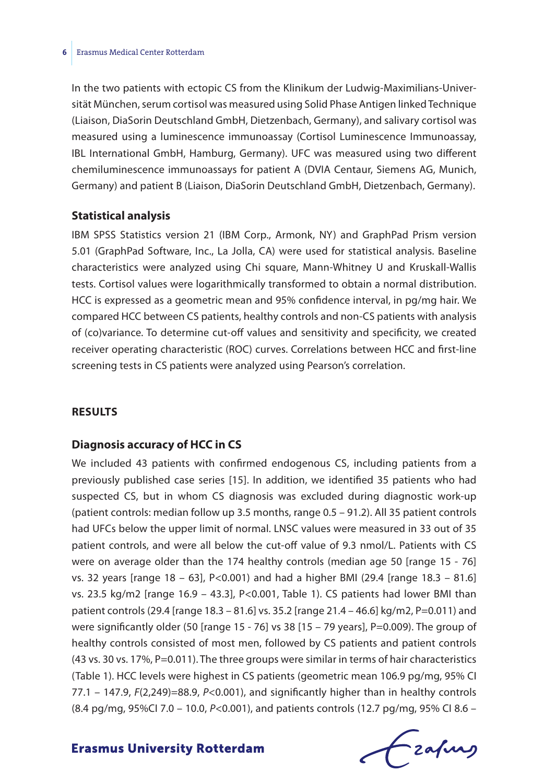In the two patients with ectopic CS from the Klinikum der Ludwig-Maximilians-Universität München, serum cortisol was measured using Solid Phase Antigen linked Technique (Liaison, DiaSorin Deutschland GmbH, Dietzenbach, Germany), and salivary cortisol was measured using a luminescence immunoassay (Cortisol Luminescence Immunoassay, IBL International GmbH, Hamburg, Germany). UFC was measured using two different chemiluminescence immunoassays for patient A (DVIA Centaur, Siemens AG, Munich, Germany) and patient B (Liaison, DiaSorin Deutschland GmbH, Dietzenbach, Germany).

## **Statistical analysis**

IBM SPSS Statistics version 21 (IBM Corp., Armonk, NY) and GraphPad Prism version 5.01 (GraphPad Software, Inc., La Jolla, CA) were used for statistical analysis. Baseline characteristics were analyzed using Chi square, Mann-Whitney U and Kruskall-Wallis tests. Cortisol values were logarithmically transformed to obtain a normal distribution. HCC is expressed as a geometric mean and 95% confidence interval, in pg/mg hair. We compared HCC between CS patients, healthy controls and non-CS patients with analysis of (co)variance. To determine cut-off values and sensitivity and specificity, we created receiver operating characteristic (ROC) curves. Correlations between HCC and first-line screening tests in CS patients were analyzed using Pearson's correlation.

## **Results**

## **Diagnosis accuracy of HCC in CS**

We included 43 patients with confirmed endogenous CS, including patients from a previously published case series [15]. In addition, we identified 35 patients who had suspected CS, but in whom CS diagnosis was excluded during diagnostic work-up (patient controls: median follow up 3.5 months, range 0.5 – 91.2). All 35 patient controls had UFCs below the upper limit of normal. LNSC values were measured in 33 out of 35 patient controls, and were all below the cut-off value of 9.3 nmol/L. Patients with CS were on average older than the 174 healthy controls (median age 50 [range 15 - 76] vs. 32 years [range 18 – 63], P<0.001) and had a higher BMI (29.4 [range 18.3 – 81.6] vs. 23.5 kg/m2 [range 16.9 – 43.3], P<0.001, Table 1). CS patients had lower BMI than patient controls (29.4 [range 18.3 – 81.6] vs. 35.2 [range 21.4 – 46.6] kg/m2, P=0.011) and were significantly older (50 [range 15 - 76] vs 38 [15 - 79 years], P=0.009). The group of healthy controls consisted of most men, followed by CS patients and patient controls (43 vs. 30 vs. 17%, P=0.011). The three groups were similar in terms of hair characteristics (Table 1). HCC levels were highest in CS patients (geometric mean 106.9 pg/mg, 95% CI 77.1 – 147.9, *F*(2,249)=88.9, *P*<0.001), and significantly higher than in healthy controls (8.4 pg/mg, 95%CI 7.0 – 10.0, *P*<0.001), and patients controls (12.7 pg/mg, 95% CI 8.6 –

Czafurz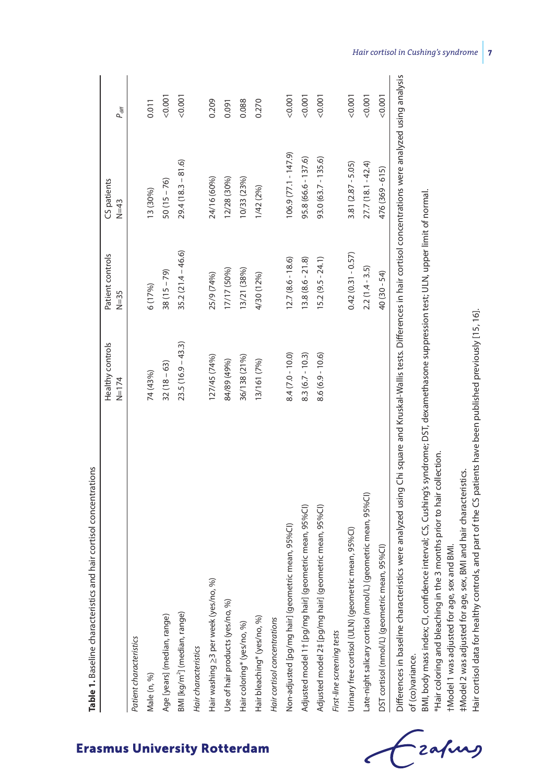|                                                                                                                                                                                                                                                                                                                                          | Healthy controls<br>$N = 174$ | Patient controls<br>$N = 35$ | CS patients<br>$N=43$ | $P_{\rm diff}$ |
|------------------------------------------------------------------------------------------------------------------------------------------------------------------------------------------------------------------------------------------------------------------------------------------------------------------------------------------|-------------------------------|------------------------------|-----------------------|----------------|
| Patient characteristics                                                                                                                                                                                                                                                                                                                  |                               |                              |                       |                |
| Male (n, %)                                                                                                                                                                                                                                                                                                                              | 74 (43%)                      | 6 (17%)                      | 13 (30%)              | 0.011          |
| Age [years] (median, range)                                                                                                                                                                                                                                                                                                              | $32(18-63)$                   | $38(15-79)$                  | $50(15-76)$           | 0.001          |
| BMI [kg/m <sup>2</sup> ] (median, range)                                                                                                                                                                                                                                                                                                 | $23.5(16.9 - 43.3)$           | $35.2(21.4 - 46.6)$          | $29.4(18.3 - 81.6)$   | 0.001          |
| Hair characteristics                                                                                                                                                                                                                                                                                                                     |                               |                              |                       |                |
| 96)<br>Hair washing > 3 per week (yes/no,                                                                                                                                                                                                                                                                                                | 127/45 (74%)                  | 25/9 (74%)                   | 24/16 (60%)           | 0.209          |
| Use of hair products (yes/no, %)                                                                                                                                                                                                                                                                                                         | 84/89 (49%)                   | 17/17 (50%)                  | 12/28 (30%)           | 0.091          |
| Hair coloring* (yes/no, %)                                                                                                                                                                                                                                                                                                               | 36/138 (21%)                  | 13/21 (38%)                  | 10/33 (23%)           | 0.088          |
| Hair bleaching* (yes/no, %)                                                                                                                                                                                                                                                                                                              | 13/161 (7%)                   | 4/30 (12%)                   | 1/42(2%)              | 0.270          |
| Hair cortisol concentrations                                                                                                                                                                                                                                                                                                             |                               |                              |                       |                |
| Non-adjusted [pg/mg hair] (geometric mean, 95%Cl)                                                                                                                                                                                                                                                                                        | $8.4(7.0 - 10.0)$             | $12.7(8.6 - 18.6)$           | $106.9(77.1 - 147.9)$ | &0.001         |
| Adjusted model 11 [pg/mg hair] (geometric mean, 95%Cl)                                                                                                                                                                                                                                                                                   | $8.3(6.7 - 10.3)$             | $13.8(8.6 - 21.8)$           | 95.8 (66.6 - 137.6)   | 0.001          |
| Adjusted model 2‡ [pg/mg hair] (geometric mean, 95%Cl)                                                                                                                                                                                                                                                                                   | $8.6(6.9 - 10.6)$             | $15.2(9.5 - 24.1)$           | $93.0(63.7 - 135.6)$  | < 0.001        |
| First-line screening tests                                                                                                                                                                                                                                                                                                               |                               |                              |                       |                |
| Jrinary free cortisol (ULN) (geometric mean, 95%Cl)                                                                                                                                                                                                                                                                                      |                               | $0.42(0.31 - 0.57)$          | $3.81(2.87 - 5.05)$   | &0.001         |
| Late-night salicary cortisol (nmol/L) (geometric mean, 95%Cl)                                                                                                                                                                                                                                                                            |                               | $2.2(1.4 - 3.5)$             | $27.7(18.1 - 42.4)$   | &0.001         |
| DST cortisol (nmol/L) (geometric mean, 95%Cl)                                                                                                                                                                                                                                                                                            |                               | 40 (30 - 54)                 | 476 (369 - 615)       | 0.001          |
| Differences in baseline characteristics were analyzed using Chi square and Kruskal-Wallis tests. Differences in hair cortisol concentrations were analyzed using analysis<br>BMI, body mass index; CI, confidence interval; CS, Cushing's syndrome; DST, dexamethasone suppression test; ULN, upper limit of normal.<br>of (co)variance. |                               |                              |                       |                |

Table 1. Baseline characteristics and hair cortisol concentrations **Table 1.** Baseline characteristics and hair cortisol concentrations

# **Erasmus University Rotterdam**

zafung

\*Hair coloring and bleaching in the 3 months prior to hair collection.

\*Hair coloring and bleaching in the 3 months prior to hair collection.

†Model 1 was adjusted for age, sex and BMI.

+Model 1 was adjusted for age, sex and BMI.

‡Model 2 was adjusted for age, sex, BMI and hair characteristics.

Hair cortisol data for healthy controls, and part of the CS patients have been published previously [15, 16].

#Model 2 was adjusted for age, sex, BMI and hair characteristics.<br>Hair cortisol data for healthy controls, and part of the CS patients have been published previously [15, 16].

*Hair cortisol in Cushing's syndrome*

**7**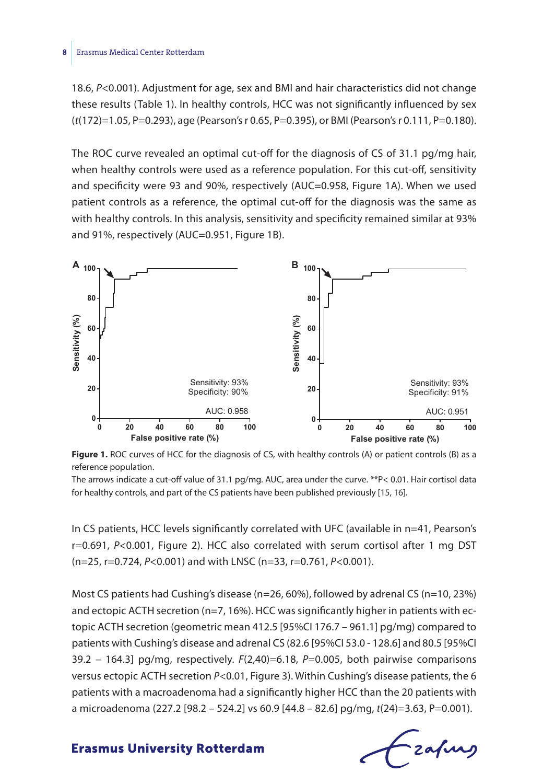#### **8** Erasmus Medical Center Rotterdam

18.6, *P*<0.001). Adjustment for age, sex and BMI and hair characteristics did not change these results (Table 1). In healthy controls, HCC was not significantly influenced by sex (*t*(172)=1.05, P=0.293), age (Pearson's r 0.65, P=0.395), or BMI (Pearson's r 0.111, P=0.180).

The ROC curve revealed an optimal cut-off for the diagnosis of CS of 31.1 pg/mg hair, when healthy controls were used as a reference population. For this cut-off, sensitivity and specificity were 93 and 90%, respectively (AUC=0.958, Figure 1A). When we used patient controls as a reference, the optimal cut-off for the diagnosis was the same as with healthy controls. In this analysis, sensitivity and specificity remained similar at 93% and 91%, respectively (AUC=0.951, Figure 1B).



**Figure 1.** ROC curves of HCC for the diagnosis of CS, with healthy controls (A) or patient controls (B) as a reference population.

The arrows indicate a cut-off value of 31.1 pg/mg. AUC, area under the curve. \*\*P< 0.01. Hair cortisol data for healthy controls, and part of the CS patients have been published previously [15, 16].

In CS patients, HCC levels significantly correlated with UFC (available in n=41, Pearson's r=0.691, *P*<0.001, Figure 2). HCC also correlated with serum cortisol after 1 mg DST (n=25, r=0.724, *P*<0.001) and with LNSC (n=33, r=0.761, *P*<0.001).

Most CS patients had Cushing's disease (n=26, 60%), followed by adrenal CS (n=10, 23%) and ectopic ACTH secretion (n=7, 16%). HCC was significantly higher in patients with ectopic ACTH secretion (geometric mean 412.5 [95%CI 176.7 – 961.1] pg/mg) compared to patients with Cushing's disease and adrenal CS (82.6 [95%CI 53.0 - 128.6] and 80.5 [95%CI 39.2 – 164.3] pg/mg, respectively. *F*(2,40)=6.18, *P*=0.005, both pairwise comparisons versus ectopic ACTH secretion *P<*0.01, Figure 3). Within Cushing's disease patients, the 6 patients with a macroadenoma had a significantly higher HCC than the 20 patients with a microadenoma (227.2 [98.2 – 524.2] vs 60.9 [44.8 – 82.6] pg/mg, *t*(24)=3.63, P=0.001).

Lzafurs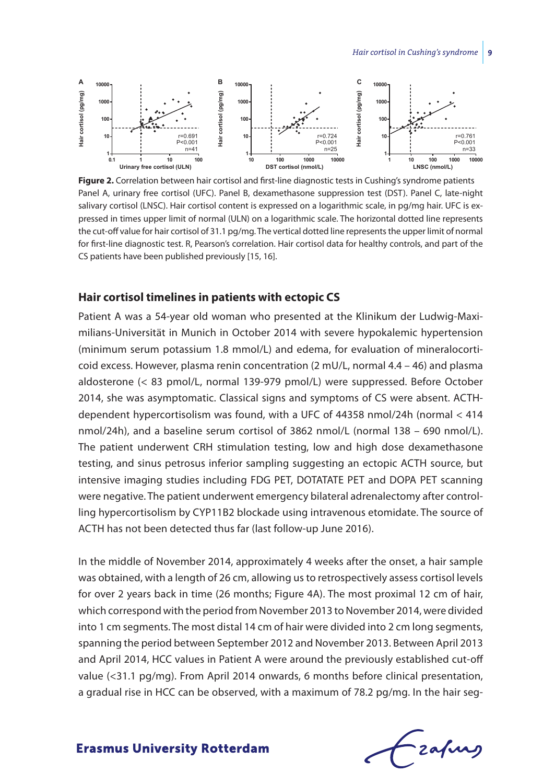

**Figure 2.** Correlation between hair cortisol and first-line diagnostic tests in Cushing's syndrome patients Panel A, urinary free cortisol (UFC). Panel B, dexamethasone suppression test (DST). Panel C, late-night salivary cortisol (LNSC). Hair cortisol content is expressed on a logarithmic scale, in pg/mg hair. UFC is expressed in times upper limit of normal (ULN) on a logarithmic scale. The horizontal dotted line represents the cut-off value for hair cortisol of 31.1 pg/mg. The vertical dotted line represents the upper limit of normal for first-line diagnostic test. R, Pearson's correlation. Hair cortisol data for healthy controls, and part of the CS patients have been published previously [15, 16].

## **Hair cortisol timelines in patients with ectopic CS**

Patient A was a 54-year old woman who presented at the Klinikum der Ludwig‐Maximilians‐Universität in Munich in October 2014 with severe hypokalemic hypertension (minimum serum potassium 1.8 mmol/L) and edema, for evaluation of mineralocorticoid excess. However, plasma renin concentration (2 mU/L, normal 4.4 – 46) and plasma aldosterone (< 83 pmol/L, normal 139-979 pmol/L) were suppressed. Before October 2014, she was asymptomatic. Classical signs and symptoms of CS were absent. ACTHdependent hypercortisolism was found, with a UFC of 44358 nmol/24h (normal < 414 nmol/24h), and a baseline serum cortisol of 3862 nmol/L (normal 138 – 690 nmol/L). The patient underwent CRH stimulation testing, low and high dose dexamethasone testing, and sinus petrosus inferior sampling suggesting an ectopic ACTH source, but intensive imaging studies including FDG PET, DOTATATE PET and DOPA PET scanning were negative. The patient underwent emergency bilateral adrenalectomy after controlling hypercortisolism by CYP11B2 blockade using intravenous etomidate. The source of ACTH has not been detected thus far (last follow-up June 2016).

In the middle of November 2014, approximately 4 weeks after the onset, a hair sample was obtained, with a length of 26 cm, allowing us to retrospectively assess cortisol levels for over 2 years back in time (26 months; Figure 4A). The most proximal 12 cm of hair, which correspond with the period from November 2013 to November 2014, were divided into 1 cm segments. The most distal 14 cm of hair were divided into 2 cm long segments, spanning the period between September 2012 and November 2013. Between April 2013 and April 2014, HCC values in Patient A were around the previously established cut-off value (<31.1 pg/mg). From April 2014 onwards, 6 months before clinical presentation, a gradual rise in HCC can be observed, with a maximum of 78.2 pg/mg. In the hair seg-

-zafurg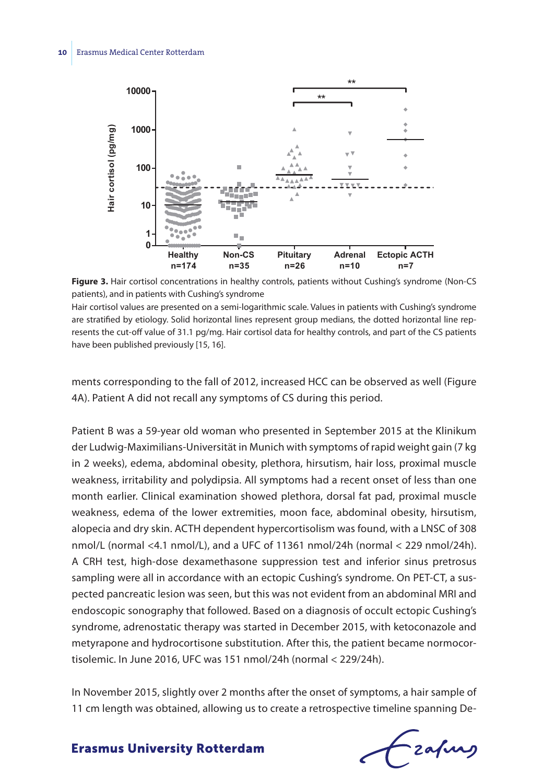



Hair cortisol values are presented on a semi-logarithmic scale. Values in patients with Cushing's syndrome are stratified by etiology. Solid horizontal lines represent group medians, the dotted horizontal line represents the cut-off value of 31.1 pg/mg. Hair cortisol data for healthy controls, and part of the CS patients have been published previously [15, 16].

ments corresponding to the fall of 2012, increased HCC can be observed as well (Figure 4A). Patient A did not recall any symptoms of CS during this period.

Patient B was a 59-year old woman who presented in September 2015 at the Klinikum der Ludwig‐Maximilians‐Universität in Munich with symptoms of rapid weight gain (7 kg in 2 weeks), edema, abdominal obesity, plethora, hirsutism, hair loss, proximal muscle weakness, irritability and polydipsia. All symptoms had a recent onset of less than one month earlier. Clinical examination showed plethora, dorsal fat pad, proximal muscle weakness, edema of the lower extremities, moon face, abdominal obesity, hirsutism, alopecia and dry skin. ACTH dependent hypercortisolism was found, with a LNSC of 308 nmol/L (normal <4.1 nmol/L), and a UFC of 11361 nmol/24h (normal < 229 nmol/24h). A CRH test, high-dose dexamethasone suppression test and inferior sinus pretrosus sampling were all in accordance with an ectopic Cushing's syndrome. On PET-CT, a suspected pancreatic lesion was seen, but this was not evident from an abdominal MRI and endoscopic sonography that followed. Based on a diagnosis of occult ectopic Cushing's syndrome, adrenostatic therapy was started in December 2015, with ketoconazole and metyrapone and hydrocortisone substitution. After this, the patient became normocortisolemic. In June 2016, UFC was 151 nmol/24h (normal < 229/24h).

In November 2015, slightly over 2 months after the onset of symptoms, a hair sample of 11 cm length was obtained, allowing us to create a retrospective timeline spanning De-

frafing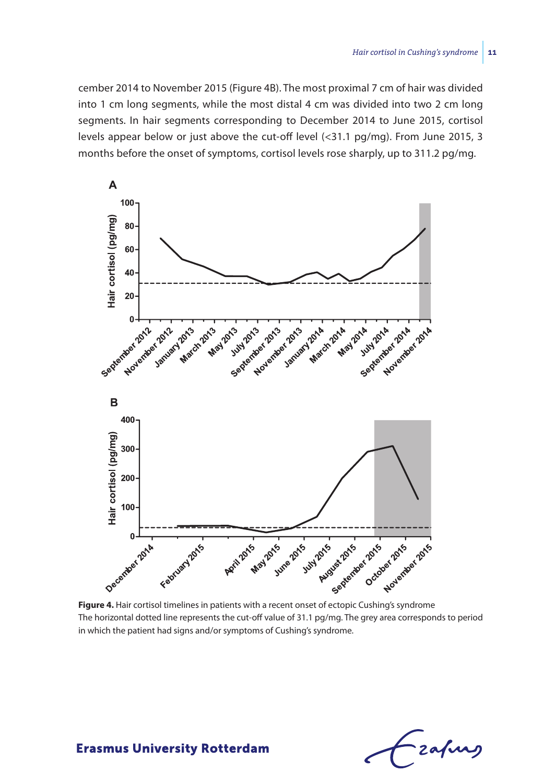cember 2014 to November 2015 (Figure 4B). The most proximal 7 cm of hair was divided into 1 cm long segments, while the most distal 4 cm was divided into two 2 cm long segments. In hair segments corresponding to December 2014 to June 2015, cortisol levels appear below or just above the cut-off level (<31.1 pg/mg). From June 2015, 3 months before the onset of symptoms, cortisol levels rose sharply, up to 311.2 pg/mg.



The horizontal dotted line represents the cut-off value of 31.1 pg/mg. The grey area corresponds to period in which the patient had signs and/or symptoms of Cushing's syndrome.

-zafurs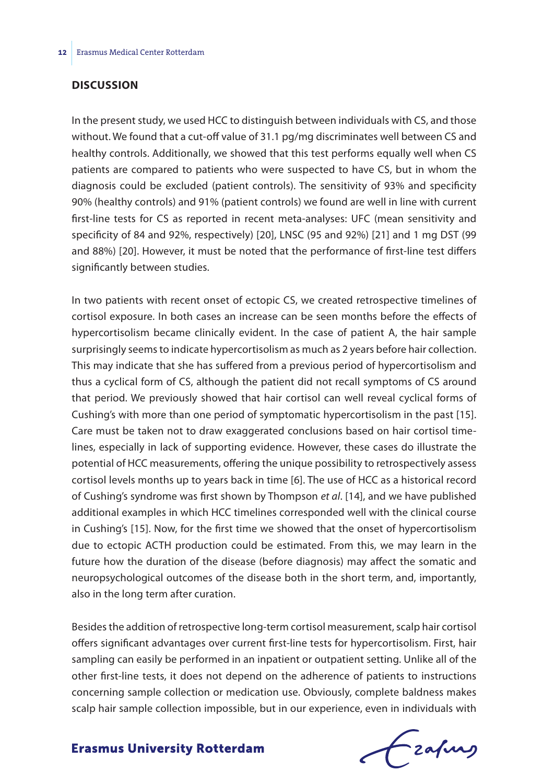## **Discussion**

In the present study, we used HCC to distinguish between individuals with CS, and those without. We found that a cut-off value of 31.1 pg/mg discriminates well between CS and healthy controls. Additionally, we showed that this test performs equally well when CS patients are compared to patients who were suspected to have CS, but in whom the diagnosis could be excluded (patient controls). The sensitivity of 93% and specificity 90% (healthy controls) and 91% (patient controls) we found are well in line with current first-line tests for CS as reported in recent meta-analyses: UFC (mean sensitivity and specificity of 84 and 92%, respectively) [20], LNSC (95 and 92%) [21] and 1 mg DST (99 and 88%) [20]. However, it must be noted that the performance of first-line test differs significantly between studies.

In two patients with recent onset of ectopic CS, we created retrospective timelines of cortisol exposure. In both cases an increase can be seen months before the effects of hypercortisolism became clinically evident. In the case of patient A, the hair sample surprisingly seems to indicate hypercortisolism as much as 2 years before hair collection. This may indicate that she has suffered from a previous period of hypercortisolism and thus a cyclical form of CS, although the patient did not recall symptoms of CS around that period. We previously showed that hair cortisol can well reveal cyclical forms of Cushing's with more than one period of symptomatic hypercortisolism in the past [15]. Care must be taken not to draw exaggerated conclusions based on hair cortisol timelines, especially in lack of supporting evidence. However, these cases do illustrate the potential of HCC measurements, offering the unique possibility to retrospectively assess cortisol levels months up to years back in time [6]. The use of HCC as a historical record of Cushing's syndrome was first shown by Thompson *et al*. [14], and we have published additional examples in which HCC timelines corresponded well with the clinical course in Cushing's [15]. Now, for the first time we showed that the onset of hypercortisolism due to ectopic ACTH production could be estimated. From this, we may learn in the future how the duration of the disease (before diagnosis) may affect the somatic and neuropsychological outcomes of the disease both in the short term, and, importantly, also in the long term after curation.

Besides the addition of retrospective long-term cortisol measurement, scalp hair cortisol offers significant advantages over current first-line tests for hypercortisolism. First, hair sampling can easily be performed in an inpatient or outpatient setting. Unlike all of the other first-line tests, it does not depend on the adherence of patients to instructions concerning sample collection or medication use. Obviously, complete baldness makes scalp hair sample collection impossible, but in our experience, even in individuals with

Frahing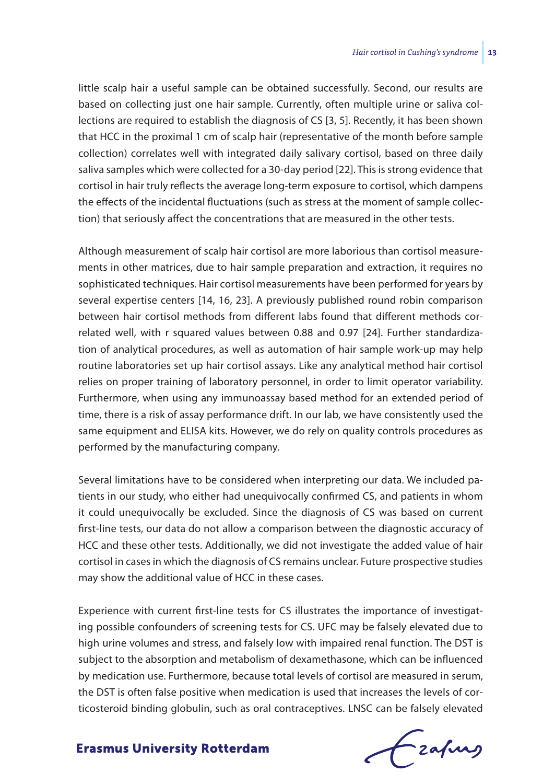little scalp hair a useful sample can be obtained successfully. Second, our results are based on collecting just one hair sample. Currently, often multiple urine or saliva collections are required to establish the diagnosis of CS [3, 5]. Recently, it has been shown that HCC in the proximal 1 cm of scalp hair (representative of the month before sample collection) correlates well with integrated daily salivary cortisol, based on three daily saliva samples which were collected for a 30-day period [22]. This is strong evidence that cortisol in hair truly reflects the average long-term exposure to cortisol, which dampens the effects of the incidental fluctuations (such as stress at the moment of sample collection) that seriously affect the concentrations that are measured in the other tests.

Although measurement of scalp hair cortisol are more laborious than cortisol measurements in other matrices, due to hair sample preparation and extraction, it requires no sophisticated techniques. Hair cortisol measurements have been performed for years by several expertise centers [14, 16, 23]. A previously published round robin comparison between hair cortisol methods from different labs found that different methods correlated well, with r squared values between 0.88 and 0.97 [24]. Further standardization of analytical procedures, as well as automation of hair sample work-up may help routine laboratories set up hair cortisol assays. Like any analytical method hair cortisol relies on proper training of laboratory personnel, in order to limit operator variability. Furthermore, when using any immunoassay based method for an extended period of time, there is a risk of assay performance drift. In our lab, we have consistently used the same equipment and ELISA kits. However, we do rely on quality controls procedures as performed by the manufacturing company.

Several limitations have to be considered when interpreting our data. We included patients in our study, who either had unequivocally confirmed CS, and patients in whom it could unequivocally be excluded. Since the diagnosis of CS was based on current first-line tests, our data do not allow a comparison between the diagnostic accuracy of HCC and these other tests. Additionally, we did not investigate the added value of hair cortisol in cases in which the diagnosis of CS remains unclear. Future prospective studies may show the additional value of HCC in these cases.

Experience with current first-line tests for CS illustrates the importance of investigating possible confounders of screening tests for CS. UFC may be falsely elevated due to high urine volumes and stress, and falsely low with impaired renal function. The DST is subject to the absorption and metabolism of dexamethasone, which can be influenced by medication use. Furthermore, because total levels of cortisol are measured in serum, the DST is often false positive when medication is used that increases the levels of corticosteroid binding globulin, such as oral contraceptives. LNSC can be falsely elevated

frafing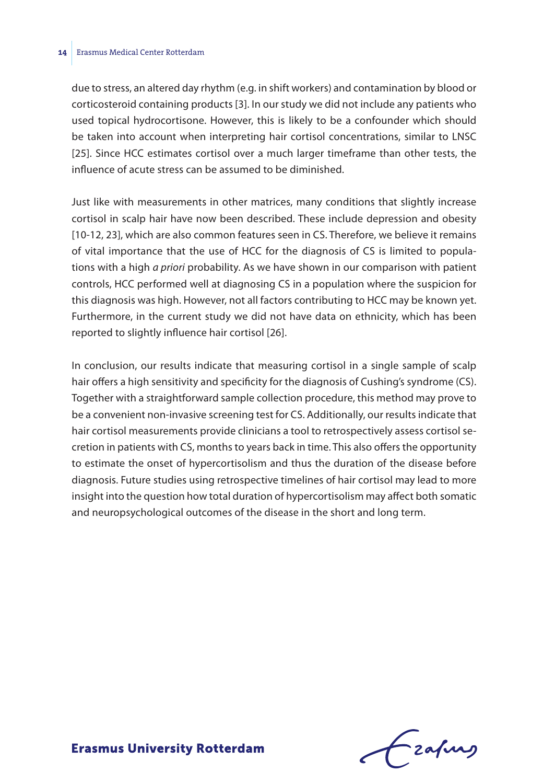due to stress, an altered day rhythm (e.g. in shift workers) and contamination by blood or corticosteroid containing products [3]. In our study we did not include any patients who used topical hydrocortisone. However, this is likely to be a confounder which should be taken into account when interpreting hair cortisol concentrations, similar to LNSC [25]. Since HCC estimates cortisol over a much larger timeframe than other tests, the influence of acute stress can be assumed to be diminished.

Just like with measurements in other matrices, many conditions that slightly increase cortisol in scalp hair have now been described. These include depression and obesity [10-12, 23], which are also common features seen in CS. Therefore, we believe it remains of vital importance that the use of HCC for the diagnosis of CS is limited to populations with a high *a priori* probability. As we have shown in our comparison with patient controls, HCC performed well at diagnosing CS in a population where the suspicion for this diagnosis was high. However, not all factors contributing to HCC may be known yet. Furthermore, in the current study we did not have data on ethnicity, which has been reported to slightly influence hair cortisol [26].

In conclusion, our results indicate that measuring cortisol in a single sample of scalp hair offers a high sensitivity and specificity for the diagnosis of Cushing's syndrome (CS). Together with a straightforward sample collection procedure, this method may prove to be a convenient non-invasive screening test for CS. Additionally, our results indicate that hair cortisol measurements provide clinicians a tool to retrospectively assess cortisol secretion in patients with CS, months to years back in time. This also offers the opportunity to estimate the onset of hypercortisolism and thus the duration of the disease before diagnosis. Future studies using retrospective timelines of hair cortisol may lead to more insight into the question how total duration of hypercortisolism may affect both somatic and neuropsychological outcomes of the disease in the short and long term.

-zafurs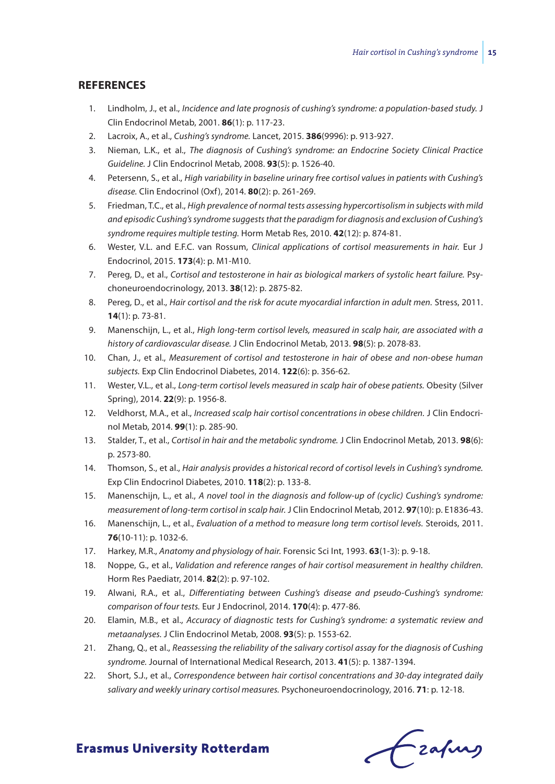#### **References**

- 1. Lindholm, J., et al., *Incidence and late prognosis of cushing's syndrome: a population-based study.* J Clin Endocrinol Metab, 2001. **86**(1): p. 117-23.
- 2. Lacroix, A., et al., *Cushing's syndrome.* Lancet, 2015. **386**(9996): p. 913-927.
- 3. Nieman, L.K., et al., *The diagnosis of Cushing's syndrome: an Endocrine Society Clinical Practice Guideline.* J Clin Endocrinol Metab, 2008. **93**(5): p. 1526-40.
- 4. Petersenn, S., et al., *High variability in baseline urinary free cortisol values in patients with Cushing's disease.* Clin Endocrinol (Oxf ), 2014. **80**(2): p. 261-269.
- 5. Friedman, T.C., et al., *High prevalence of normal tests assessing hypercortisolism in subjects with mild and episodic Cushing's syndrome suggests that the paradigm for diagnosis and exclusion of Cushing's syndrome requires multiple testing.* Horm Metab Res, 2010. **42**(12): p. 874-81.
- 6. Wester, V.L. and E.F.C. van Rossum, *Clinical applications of cortisol measurements in hair.* Eur J Endocrinol, 2015. **173**(4): p. M1-M10.
- 7. Pereg, D., et al., *Cortisol and testosterone in hair as biological markers of systolic heart failure.* Psychoneuroendocrinology, 2013. **38**(12): p. 2875-82.
- 8. Pereg, D., et al., *Hair cortisol and the risk for acute myocardial infarction in adult men.* Stress, 2011. **14**(1): p. 73-81.
- 9. Manenschijn, L., et al., *High long-term cortisol levels, measured in scalp hair, are associated with a history of cardiovascular disease.* J Clin Endocrinol Metab, 2013. **98**(5): p. 2078-83.
- 10. Chan, J., et al., *Measurement of cortisol and testosterone in hair of obese and non-obese human subjects.* Exp Clin Endocrinol Diabetes, 2014. **122**(6): p. 356-62.
- 11. Wester, V.L., et al., *Long-term cortisol levels measured in scalp hair of obese patients.* Obesity (Silver Spring), 2014. **22**(9): p. 1956-8.
- 12. Veldhorst, M.A., et al., *Increased scalp hair cortisol concentrations in obese children.* J Clin Endocrinol Metab, 2014. **99**(1): p. 285-90.
- 13. Stalder, T., et al., *Cortisol in hair and the metabolic syndrome.* J Clin Endocrinol Metab, 2013. **98**(6): p. 2573-80.
- 14. Thomson, S., et al., *Hair analysis provides a historical record of cortisol levels in Cushing's syndrome.* Exp Clin Endocrinol Diabetes, 2010. **118**(2): p. 133-8.
- 15. Manenschijn, L., et al., *A novel tool in the diagnosis and follow-up of (cyclic) Cushing's syndrome: measurement of long-term cortisol in scalp hair.* J Clin Endocrinol Metab, 2012. **97**(10): p. E1836-43.
- 16. Manenschijn, L., et al., *Evaluation of a method to measure long term cortisol levels.* Steroids, 2011. **76**(10-11): p. 1032-6.
- 17. Harkey, M.R., *Anatomy and physiology of hair.* Forensic Sci Int, 1993. **63**(1-3): p. 9-18.
- 18. Noppe, G., et al., *Validation and reference ranges of hair cortisol measurement in healthy children.* Horm Res Paediatr, 2014. **82**(2): p. 97-102.
- 19. Alwani, R.A., et al., *Differentiating between Cushing's disease and pseudo-Cushing's syndrome: comparison of four tests.* Eur J Endocrinol, 2014. **170**(4): p. 477-86.
- 20. Elamin, M.B., et al., *Accuracy of diagnostic tests for Cushing's syndrome: a systematic review and metaanalyses.* J Clin Endocrinol Metab, 2008. **93**(5): p. 1553-62.
- 21. Zhang, Q., et al., *Reassessing the reliability of the salivary cortisol assay for the diagnosis of Cushing syndrome.* Journal of International Medical Research, 2013. **41**(5): p. 1387-1394.
- 22. Short, S.J., et al., *Correspondence between hair cortisol concentrations and 30-day integrated daily salivary and weekly urinary cortisol measures.* Psychoneuroendocrinology, 2016. **71**: p. 12-18.

Czapurs